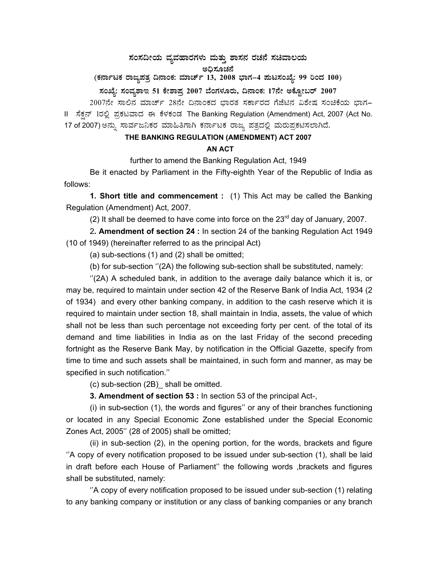## ಸಂಸದೀಯ ವ್ಯವಹಾರಗಳು ಮತ್ತು ಶಾಸನ ರಚನೆ ಸಚಿವಾಲಯ<br>… ಮೊತ್ತವನ್ನು ಅಧಿಸೂಚನೆ

(ಕರ್ನಾಟಕ ರಾಜ್ಯಪತ್ರ ದಿನಾಂಕ: ಮಾರ್ಚ್ 13, 2008 ಭಾಗ–4 **ಮಟಸಂಖ್ಯೆ: 99 ರಿಂದ 100**)

## **¸ÀASÉå: ¸ÀAªÀå±ÁE 51 PÉñÁ¥Àæ 2007 ¨ÉAUÀ¼ÀÆgÀÄ, ¢£ÁAPÀ: 17£Éà CPÉÆÖçgï 2007**

2007ನೇ ಸಾಲಿನ ಮಾರ್ಚ್ 28ನೇ ದಿನಾಂಕದ ಭಾರತ ಸರ್ಕಾರದ ಗೆಜೆಟಿನ ವಿಶೇಷ ಸಂಚಿಕೆಯ ಭಾಗ– II ಸೆಕ್ಷನ್ 1ರಲ್ಲಿ ಪ್ರಕಟವಾದ ಈ ಕೆಳಕಂಡ The Banking Regulation (Amendment) Act, 2007 (Act No. 17 of 2007) ಅನ್ನು ಸಾರ್ವಜನಿಕರ ಮಾಹಿತಿಗಾಗಿ ಕರ್ನಾಟಕ ರಾಜ್ಯ ಪತ್ರದಲ್ಲಿ ಮರುಪ್ರಕಟಿಸಲಾಗಿದೆ.

## **THE BANKING REGULATION (AMENDMENT) ACT 2007**

## **AN ACT**

further to amend the Banking Regulation Act, 1949

Be it enacted by Parliament in the Fifty-eighth Year of the Republic of India as follows:

**1. Short title and commencement :** (1) This Act may be called the Banking Regulation (Amendment) Act, 2007.

(2) It shall be deemed to have come into force on the  $23<sup>rd</sup>$  day of January, 2007.

 2**. Amendment of section 24 :** In section 24 of the banking Regulation Act 1949 (10 of 1949) (hereinafter referred to as the principal Act)

(a) sub-sections (1) and (2) shall be omitted;

(b) for sub-section ''(2A) the following sub-section shall be substituted, namely:

"(2A) A scheduled bank, in addition to the average daily balance which it is, or may be, required to maintain under section 42 of the Reserve Bank of India Act, 1934 (2 of 1934) and every other banking company, in addition to the cash reserve which it is required to maintain under section 18, shall maintain in India, assets, the value of which shall not be less than such percentage not exceeding forty per cent. of the total of its demand and time liabilities in India as on the last Friday of the second preceding fortnight as the Reserve Bank May, by notification in the Official Gazette, specify from time to time and such assets shall be maintained, in such form and manner, as may be specified in such notification.''

(c) sub-section (2B)\_ shall be omitted.

**3. Amendment of section 53 :** In section 53 of the principal Act-,

(i) in sub**-**section (1), the words and figures'' or any of their branches functioning or located in any Special Economic Zone established under the Special Economic Zones Act, 2005'' (28 of 2005) shall be omitted;

(ii) in sub-section (2), in the opening portion, for the words, brackets and figure ''A copy of every notification proposed to be issued under sub-section (1), shall be laid in draft before each House of Parliament'' the following words ,brackets and figures shall be substituted, namely:

 ''A copy of every notification proposed to be issued under sub-section (1) relating to any banking company or institution or any class of banking companies or any branch